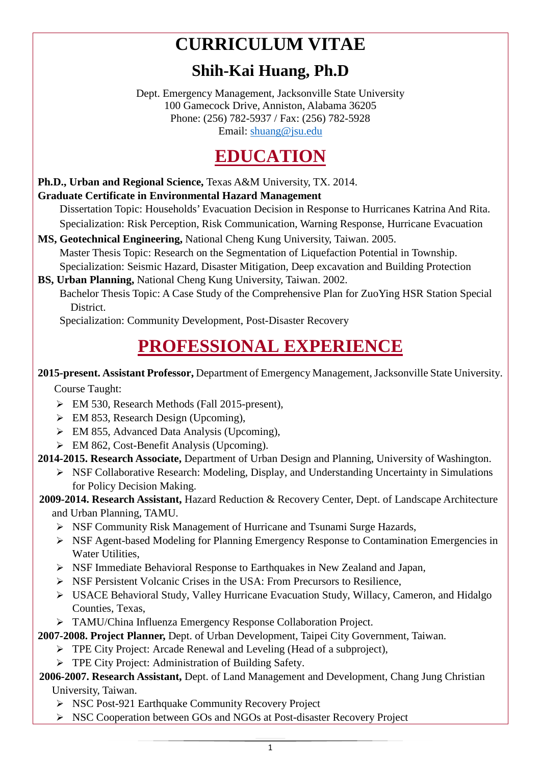# **CURRICULUM VITAE**

### **Shih-Kai Huang, Ph.D**

Dept. Emergency Management, Jacksonville State University 100 Gamecock Drive, Anniston, Alabama 36205 Phone: (256) 782-5937 / Fax: (256) 782-5928 Email: [shuang@jsu.edu](mailto:shuang@jsu.edu)

### **EDUCATION**

#### **Ph.D., Urban and Regional Science,** Texas A&M University, TX. 2014. **Graduate Certificate in Environmental Hazard Management**

 Dissertation Topic: Households' Evacuation Decision in Response to Hurricanes Katrina And Rita. Specialization: Risk Perception, Risk Communication, Warning Response, Hurricane Evacuation

**MS, Geotechnical Engineering,** National Cheng Kung University, Taiwan. 2005. Master Thesis Topic: Research on the Segmentation of Liquefaction Potential in Township. Specialization: Seismic Hazard, Disaster Mitigation, Deep excavation and Building Protection

**BS, Urban Planning,** National Cheng Kung University, Taiwan. 2002. Bachelor Thesis Topic: A Case Study of the Comprehensive Plan for ZuoYing HSR Station Special District.

Specialization: Community Development, Post-Disaster Recovery

## **PROFESSIONAL EXPERIENCE**

#### **2015-present. Assistant Professor,** Department of Emergency Management, Jacksonville State University.

Course Taught:

- EM 530, Research Methods (Fall 2015-present),
- EM 853, Research Design (Upcoming),
- $\triangleright$  EM 855, Advanced Data Analysis (Upcoming),
- $\triangleright$  EM 862, Cost-Benefit Analysis (Upcoming).

#### **2014-2015. Research Associate,** Department of Urban Design and Planning, University of Washington.

 NSF Collaborative Research: Modeling, Display, and Understanding Uncertainty in Simulations for Policy Decision Making.

#### **2009-2014. Research Assistant,** Hazard Reduction & Recovery Center, Dept. of Landscape Architecture and Urban Planning, TAMU.

- $\triangleright$  NSF Community Risk Management of Hurricane and Tsunami Surge Hazards,
- NSF Agent-based Modeling for Planning Emergency Response to Contamination Emergencies in Water Utilities,
- NSF Immediate Behavioral Response to Earthquakes in New Zealand and Japan,
- NSF Persistent Volcanic Crises in the USA: From Precursors to Resilience,
- USACE Behavioral Study, Valley Hurricane Evacuation Study, Willacy, Cameron, and Hidalgo Counties, Texas,
- TAMU/China Influenza Emergency Response Collaboration Project.

#### **2007-2008. Project Planner,** Dept. of Urban Development, Taipei City Government, Taiwan.

- **FIPE City Project: Arcade Renewal and Leveling (Head of a subproject),** 
	- **FPE City Project: Administration of Building Safety.**

#### **2006-2007. Research Assistant,** Dept. of Land Management and Development, Chang Jung Christian University, Taiwan.

- ▶ NSC Post-921 Earthquake Community Recovery Project
- ▶ NSC Cooperation between GOs and NGOs at Post-disaster Recovery Project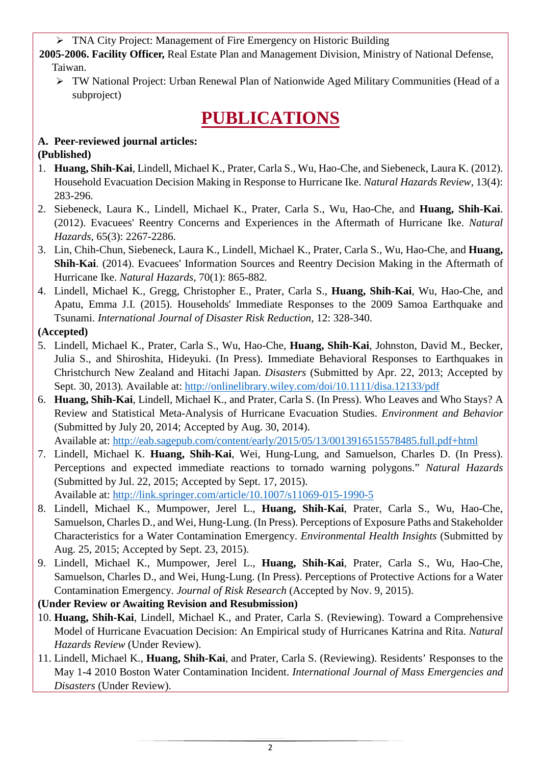TNA City Project: Management of Fire Emergency on Historic Building

**2005-2006. Facility Officer,** Real Estate Plan and Management Division, Ministry of National Defense, Taiwan.

 TW National Project: Urban Renewal Plan of Nationwide Aged Military Communities (Head of a subproject)

### **PUBLICATIONS**

#### **A. Peer-reviewed journal articles: (Published)**

- 1. **Huang, Shih-Kai**, Lindell, Michael K., Prater, Carla S., Wu, Hao-Che, and Siebeneck, Laura K. (2012). Household Evacuation Decision Making in Response to Hurricane Ike. *Natural Hazards Review,* 13(4): 283-296.
- 2. Siebeneck, Laura K., Lindell, Michael K., Prater, Carla S., Wu, Hao-Che, and **Huang, Shih-Kai**. (2012). Evacuees' Reentry Concerns and Experiences in the Aftermath of Hurricane Ike. *Natural Hazards,* 65(3): 2267-2286.
- 3. Lin, Chih-Chun, Siebeneck, Laura K., Lindell, Michael K., Prater, Carla S., Wu, Hao-Che, and **Huang, Shih-Kai**. (2014). Evacuees' Information Sources and Reentry Decision Making in the Aftermath of Hurricane Ike. *Natural Hazards,* 70(1): 865-882*.*
- 4. Lindell, Michael K., Gregg, Christopher E., Prater, Carla S., **Huang, Shih-Kai**, Wu, Hao-Che, and Apatu, Emma J.I. (2015). Households' Immediate Responses to the 2009 Samoa Earthquake and Tsunami. *International Journal of Disaster Risk Reduction,* 12: 328-340.

#### **(Accepted)**

- 5. Lindell, Michael K., Prater, Carla S., Wu, Hao-Che, **Huang, Shih-Kai**, Johnston, David M., Becker, Julia S., and Shiroshita, Hideyuki. (In Press). Immediate Behavioral Responses to Earthquakes in Christchurch New Zealand and Hitachi Japan. *Disasters* (Submitted by Apr. 22, 2013; Accepted by Sept. 30, 2013)*.* Available at: <http://onlinelibrary.wiley.com/doi/10.1111/disa.12133/pdf>
- 6. **Huang, Shih-Kai**, Lindell, Michael K., and Prater, Carla S. (In Press). Who Leaves and Who Stays? A Review and Statistical Meta-Analysis of Hurricane Evacuation Studies. *Environment and Behavior*  (Submitted by July 20, 2014; Accepted by Aug. 30, 2014). Available at:<http://eab.sagepub.com/content/early/2015/05/13/0013916515578485.full.pdf+html>

7. Lindell, Michael K. **Huang, Shih-Kai**, Wei, Hung-Lung, and Samuelson, Charles D. (In Press).

- Perceptions and expected immediate reactions to tornado warning polygons." *Natural Hazards* (Submitted by Jul. 22, 2015; Accepted by Sept. 17, 2015). Available at:<http://link.springer.com/article/10.1007/s11069-015-1990-5>
- 8. Lindell, Michael K., Mumpower, Jerel L., **Huang, Shih-Kai**, Prater, Carla S., Wu, Hao-Che, Samuelson, Charles D., and Wei, Hung-Lung. (In Press). Perceptions of Exposure Paths and Stakeholder Characteristics for a Water Contamination Emergency. *Environmental Health Insights* (Submitted by Aug. 25, 2015; Accepted by Sept. 23, 2015).
- 9. Lindell, Michael K., Mumpower, Jerel L., **Huang, Shih-Kai**, Prater, Carla S., Wu, Hao-Che, Samuelson, Charles D., and Wei, Hung-Lung. (In Press). Perceptions of Protective Actions for a Water Contamination Emergency. *Journal of Risk Research* (Accepted by Nov. 9, 2015).

#### **(Under Review or Awaiting Revision and Resubmission)**

- 10. **Huang, Shih-Kai**, Lindell, Michael K., and Prater, Carla S. (Reviewing). Toward a Comprehensive Model of Hurricane Evacuation Decision: An Empirical study of Hurricanes Katrina and Rita. *Natural Hazards Review* (Under Review).
- 11. Lindell, Michael K., **Huang, Shih-Kai**, and Prater, Carla S. (Reviewing). Residents' Responses to the May 1-4 2010 Boston Water Contamination Incident. *International Journal of Mass Emergencies and Disasters* (Under Review).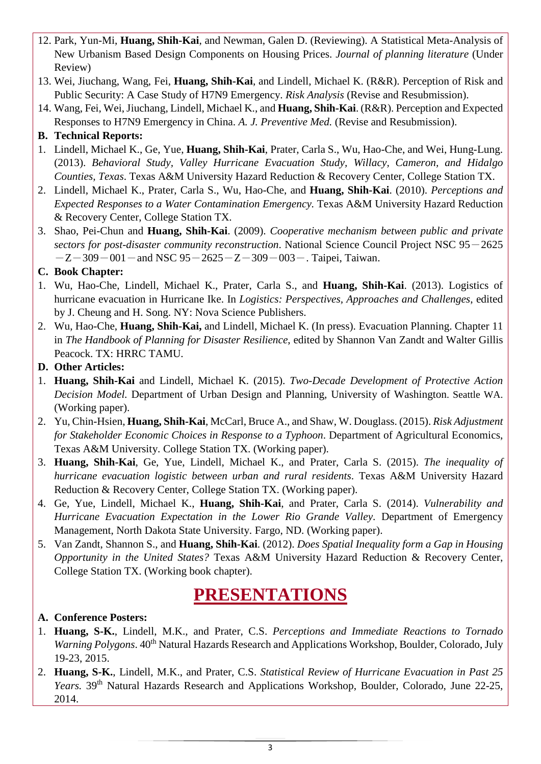- 12. Park, Yun-Mi, **Huang, Shih-Kai**, and Newman, Galen D. (Reviewing). A Statistical Meta-Analysis of New Urbanism Based Design Components on Housing Prices. *Journal of planning literature* (Under Review)
- 13. Wei, Jiuchang, Wang, Fei, **Huang, Shih-Kai**, and Lindell, Michael K. (R&R). Perception of Risk and Public Security: A Case Study of H7N9 Emergency. *Risk Analysis* (Revise and Resubmission).
- 14. Wang, Fei, Wei, Jiuchang, Lindell, Michael K., and **Huang, Shih-Kai**. (R&R). Perception and Expected Responses to H7N9 Emergency in China. *A. J. Preventive Med.* (Revise and Resubmission).

#### **B. Technical Reports:**

- 1. Lindell, Michael K., Ge, Yue, **Huang, Shih-Kai**, Prater, Carla S., Wu, Hao-Che, and Wei, Hung-Lung. (2013). *Behavioral Study, Valley Hurricane Evacuation Study, Willacy, Cameron, and Hidalgo Counties, Texas*. Texas A&M University Hazard Reduction & Recovery Center, College Station TX.
- 2. Lindell, Michael K., Prater, Carla S., Wu, Hao-Che, and **Huang, Shih-Kai**. (2010). *Perceptions and Expected Responses to a Water Contamination Emergency.* Texas A&M University Hazard Reduction & Recovery Center, College Station TX.
- 3. Shao, Pei-Chun and **Huang, Shih-Kai**. (2009). *Cooperative mechanism between public and private sectors for post-disaster community reconstruction*. National Science Council Project NSC 95-2625  $-Z-309-001$  – and NSC  $95-2625-Z-309-003$  – . Taipei, Taiwan.

#### **C. Book Chapter:**

- 1. Wu, Hao-Che, Lindell, Michael K., Prater, Carla S., and **Huang, Shih-Kai**. (2013). Logistics of hurricane evacuation in Hurricane Ike. In *Logistics: Perspectives, Approaches and Challenges*, edited by J. Cheung and H. Song. NY: Nova Science Publishers.
- 2. Wu, Hao-Che, **Huang, Shih-Kai,** and Lindell, Michael K. (In press). Evacuation Planning. Chapter 11 in *The Handbook of Planning for Disaster Resilience*, edited by Shannon Van Zandt and Walter Gillis Peacock. TX: HRRC TAMU.

#### **D. Other Articles:**

- 1. **Huang, Shih-Kai** and Lindell, Michael K. (2015). *Two-Decade Development of Protective Action Decision Model.* Department of Urban Design and Planning, University of Washington. Seattle WA. (Working paper).
- 2. Yu, Chin-Hsien, **Huang, Shih-Kai**, McCarl, Bruce A., and Shaw, W. Douglass. (2015). *Risk Adjustment for Stakeholder Economic Choices in Response to a Typhoon*. Department of Agricultural Economics, Texas A&M University. College Station TX. (Working paper).
- 3. **Huang, Shih-Kai**, Ge, Yue, Lindell, Michael K., and Prater, Carla S. (2015). *The inequality of hurricane evacuation logistic between urban and rural residents*. Texas A&M University Hazard Reduction & Recovery Center, College Station TX. (Working paper).
- 4. Ge, Yue, Lindell, Michael K., **Huang, Shih-Kai**, and Prater, Carla S. (2014). *Vulnerability and Hurricane Evacuation Expectation in the Lower Rio Grande Valley*. Department of Emergency Management, North Dakota State University. Fargo, ND. (Working paper).
- 5. Van Zandt, Shannon S., and **Huang, Shih-Kai**. (2012). *Does Spatial Inequality form a Gap in Housing Opportunity in the United States?* Texas A&M University Hazard Reduction & Recovery Center, College Station TX. (Working book chapter).

### **PRESENTATIONS**

#### **A. Conference Posters:**

- 1. **Huang, S-K.**, Lindell, M.K., and Prater, C.S. *Perceptions and Immediate Reactions to Tornado Warning Polygons*.  $40^{th}$  Natural Hazards Research and Applications Workshop, Boulder, Colorado, July 19-23, 2015.
- 2. **Huang, S-K.**, Lindell, M.K., and Prater, C.S. *Statistical Review of Hurricane Evacuation in Past 25 Years.* 39<sup>th</sup> Natural Hazards Research and Applications Workshop, Boulder, Colorado, June 22-25, 2014.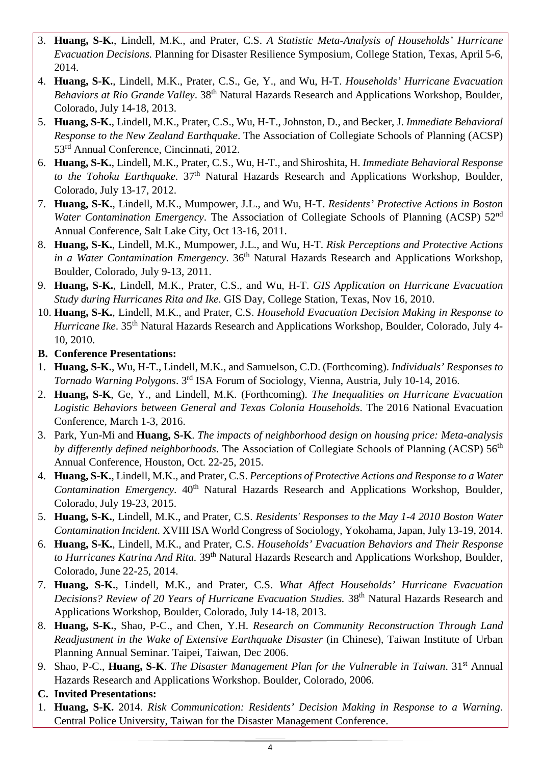- 3. **Huang, S-K.**, Lindell, M.K., and Prater, C.S. *A Statistic Meta-Analysis of Households' Hurricane Evacuation Decisions.* Planning for Disaster Resilience Symposium, College Station, Texas, April 5-6, 2014.
- 4. **Huang, S-K.**, Lindell, M.K., Prater, C.S., Ge, Y., and Wu, H-T. *Households' Hurricane Evacuation*  Behaviors at Rio Grande Valley. 38<sup>th</sup> Natural Hazards Research and Applications Workshop, Boulder, Colorado, July 14-18, 2013.
- 5. **Huang, S-K.**, Lindell, M.K., Prater, C.S., Wu, H-T., Johnston, D., and Becker, J. *Immediate Behavioral Response to the New Zealand Earthquake*. The Association of Collegiate Schools of Planning (ACSP) 53rd Annual Conference, Cincinnati, 2012.
- 6. **Huang, S-K.**, Lindell, M.K., Prater, C.S., Wu, H-T., and Shiroshita, H. *Immediate Behavioral Response*  to the Tohoku Earthquake. 37<sup>th</sup> Natural Hazards Research and Applications Workshop, Boulder, Colorado, July 13-17, 2012.
- 7. **Huang, S-K.**, Lindell, M.K., Mumpower, J.L., and Wu, H-T. *Residents' Protective Actions in Boston Water Contamination Emergency*. The Association of Collegiate Schools of Planning (ACSP) 52<sup>nd</sup> Annual Conference, Salt Lake City, Oct 13-16, 2011.
- 8. **Huang, S-K.**, Lindell, M.K., Mumpower, J.L., and Wu, H-T. *Risk Perceptions and Protective Actions in a Water Contamination Emergency.* 36<sup>th</sup> Natural Hazards Research and Applications Workshop, Boulder, Colorado, July 9-13, 2011.
- 9. **Huang, S-K.**, Lindell, M.K., Prater, C.S., and Wu, H-T. *GIS Application on Hurricane Evacuation Study during Hurricanes Rita and Ike*. GIS Day, College Station, Texas, Nov 16, 2010.
- 10. **Huang, S-K.**, Lindell, M.K., and Prater, C.S. *Household Evacuation Decision Making in Response to Hurricane Ike.* 35<sup>th</sup> Natural Hazards Research and Applications Workshop, Boulder, Colorado, July 4-10, 2010.
- **B. Conference Presentations:**
- 1. **Huang, S-K.**, Wu, H-T., Lindell, M.K., and Samuelson, C.D. (Forthcoming). *Individuals' Responses to Tornado Warning Polygons*. 3rd ISA Forum of Sociology, Vienna, Austria, July 10-14, 2016.
- 2. **Huang, S-K**, Ge, Y., and Lindell, M.K. (Forthcoming). *The Inequalities on Hurricane Evacuation Logistic Behaviors between General and Texas Colonia Households*. The 2016 National Evacuation Conference, March 1-3, 2016.
- 3. Park, Yun-Mi and **Huang, S-K**. *The impacts of neighborhood design on housing price: Meta-analysis by differently defined neighborhoods*. The Association of Collegiate Schools of Planning (ACSP) 56<sup>th</sup> Annual Conference, Houston, Oct. 22-25, 2015.
- 4. **Huang, S-K.**, Lindell, M.K., and Prater, C.S. *Perceptions of Protective Actions and Response to a Water Contamination Emergency*. 40<sup>th</sup> Natural Hazards Research and Applications Workshop, Boulder, Colorado, July 19-23, 2015.
- 5. **Huang, S-K.**, Lindell, M.K., and Prater, C.S. *Residents' Responses to the May 1-4 2010 Boston Water Contamination Incident.* XVIII ISA World Congress of Sociology, Yokohama, Japan, July 13-19, 2014.
- 6. **Huang, S-K.**, Lindell, M.K., and Prater, C.S. *Households' Evacuation Behaviors and Their Response to Hurricanes Katrina And Rita.* 39th Natural Hazards Research and Applications Workshop, Boulder, Colorado, June 22-25, 2014.
- 7. **Huang, S-K.**, Lindell, M.K., and Prater, C.S. *What Affect Households' Hurricane Evacuation*  Decisions? Review of 20 Years of Hurricane Evacuation Studies. 38<sup>th</sup> Natural Hazards Research and Applications Workshop, Boulder, Colorado, July 14-18, 2013.
- 8. **Huang, S-K.**, Shao, P-C., and Chen, Y.H. *Research on Community Reconstruction Through Land Readjustment in the Wake of Extensive Earthquake Disaster* (in Chinese), Taiwan Institute of Urban Planning Annual Seminar. Taipei, Taiwan, Dec 2006.
- 9. Shao, P-C., **Huang, S-K**. *The Disaster Management Plan for the Vulnerable in Taiwan*. 31st Annual Hazards Research and Applications Workshop. Boulder, Colorado, 2006.
- **C. Invited Presentations:**
- 1. **Huang, S-K.** 2014. *Risk Communication: Residents' Decision Making in Response to a Warning*. Central Police University, Taiwan for the Disaster Management Conference.